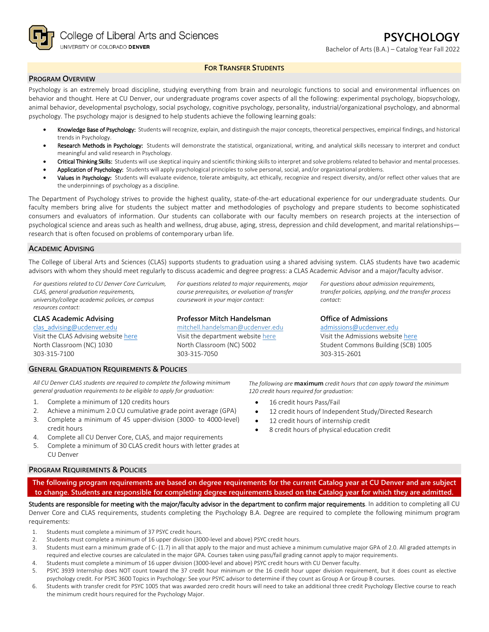

## **FOR TRANSFER STUDENTS**

### **PROGRAM OVERVIEW**

Psychology is an extremely broad discipline, studying everything from brain and neurologic functions to social and environmental influences on behavior and thought. Here at CU Denver, our undergraduate programs cover aspects of all the following: experimental psychology, biopsychology, animal behavior, developmental psychology, social psychology, cognitive psychology, personality, industrial/organizational psychology, and abnormal psychology. The psychology major is designed to help students achieve the following learning goals:

- Knowledge Base of Psychology: Students will recognize, explain, and distinguish the major concepts, theoretical perspectives, empirical findings, and historical trends in Psychology.
- Research Methods in Psychology: Students will demonstrate the statistical, organizational, writing, and analytical skills necessary to interpret and conduct meaningful and valid research in Psychology.
- Critical Thinking Skills: Students will use skeptical inquiry and scientific thinking skills to interpret and solve problems related to behavior and mental processes.
- Application of Psychology: Students will apply psychological principles to solve personal, social, and/or organizational problems.
- Values in Psychology: Students will evaluate evidence, tolerate ambiguity, act ethically, recognize and respect diversity, and/or reflect other values that are the underpinnings of psychology as a discipline.

The Department of Psychology strives to provide the highest quality, state-of-the-art educational experience for our undergraduate students. Our faculty members bring alive for students the subject matter and methodologies of psychology and prepare students to become sophisticated consumers and evaluators of information. Our students can collaborate with our faculty members on research projects at the intersection of psychological science and areas such as health and wellness, drug abuse, aging, stress, depression and child development, and marital relationships research that is often focused on problems of contemporary urban life.

### **ACADEMIC ADVISING**

The College of Liberal Arts and Sciences (CLAS) supports students to graduation using a shared advising system. CLAS students have two academic advisors with whom they should meet regularly to discuss academic and degree progress: a CLAS Academic Advisor and a major/faculty advisor.

*For questions related to CU Denver Core Curriculum, CLAS, general graduation requirements, university/college academic policies, or campus resources contact:*

#### **CLAS Academic Advising**

[clas\\_advising@ucdenver.edu](mailto:clas_advising@ucdenver.edu) Visit the CLAS Advising websit[e here](https://clas.ucdenver.edu/advising/) North Classroom (NC) 1030 303-315-7100

*For questions related to major requirements, major course prerequisites, or evaluation of transfer coursework in your major contact:*

### **Professor Mitch Handelsman**

[mitchell.handelsman@ucdenver.edu](mailto:mitchell.handelsman@ucdenver.edu)  Visit the department website [here](https://clas.ucdenver.edu/psychology/) North Classroom (NC) 5002 303-315-7050

*For questions about admission requirements, transfer policies, applying, and the transfer process contact:*

### **Office of Admissions**

[admissions@ucdenver.edu](mailto:admissions@ucdenver.edu)  Visit the Admissions website [here](http://www.ucdenver.edu/admissions/Pages/index.aspx) Student Commons Building (SCB) 1005 303-315-2601

# **GENERAL GRADUATION REQUIREMENTS & POLICIES**

*All CU Denver CLAS students are required to complete the following minimum general graduation requirements to be eligible to apply for graduation:* 

- 1. Complete a minimum of 120 credits hours
- 2. Achieve a minimum 2.0 CU cumulative grade point average (GPA)
- 3. Complete a minimum of 45 upper-division (3000- to 4000-level) credit hours
- 4. Complete all CU Denver Core, CLAS, and major requirements
- 5. Complete a minimum of 30 CLAS credit hours with letter grades at CU Denver

*The following are* **maximum** *credit hours that can apply toward the minimum 120 credit hours required for graduation:*

- 16 credit hours Pass/Fail
- 12 credit hours of Independent Study/Directed Research
- 12 credit hours of internship credit
- 8 credit hours of physical education credit

### **PROGRAM REQUIREMENTS & POLICIES**

**The following program requirements are based on degree requirements for the current Catalog year at CU Denver and are subject to change. Students are responsible for completing degree requirements based on the Catalog year for which they are admitted.**

Students are responsible for meeting with the major/faculty advisor in the department to confirm major requirements. In addition to completing all CU Denver Core and CLAS requirements, students completing the Psychology B.A. Degree are required to complete the following minimum program requirements:

- 1. Students must complete a minimum of 37 PSYC credit hours.
- 2. Students must complete a minimum of 16 upper division (3000-level and above) PSYC credit hours.
- 3. Students must earn a minimum grade of C- (1.7) in all that apply to the major and must achieve a minimum cumulative major GPA of 2.0. All graded attempts in required and elective courses are calculated in the major GPA. Courses taken using pass/fail grading cannot apply to major requirements.
- 4. Students must complete a minimum of 16 upper division (3000-level and above) PSYC credit hours with CU Denver faculty.
- 5. PSYC 3939 Internship does NOT count toward the 37 credit hour minimum or the 16 credit hour upper division requirement, but it does count as elective psychology credit. For PSYC 3600 Topics in Psychology: See your PSYC advisor to determine if they count as Group A or Group B courses.
- 6. Students with transfer credit for PSYC 1005 that was awarded zero credit hours will need to take an additional three credit Psychology Elective course to reach the minimum credit hours required for the Psychology Major.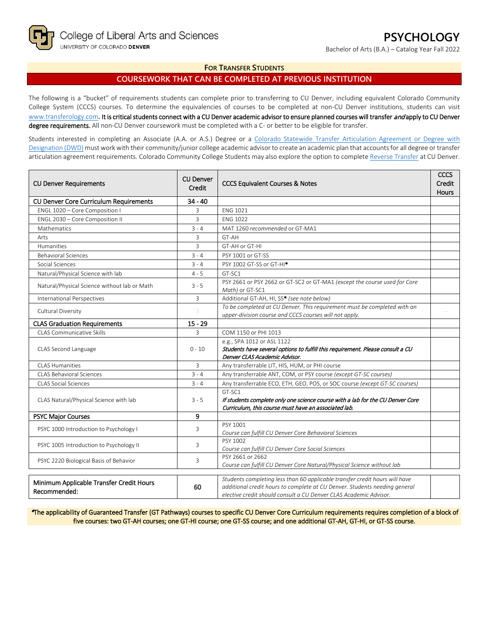Bachelor of Arts (B.A.) – Catalog Year Fall 2022

### **FOR TRANSFER STUDENTS**

# **COURSEWORK THAT CAN BE COMPLETED AT PREVIOUS INSTITUTION**

The following is a "bucket" of requirements students can complete prior to transferring to CU Denver, including equivalent Colorado Community College System (CCCS) courses. To determine the equivalencies of courses to be completed at non-CU Denver institutions, students can visit [www.transferology.com](http://www.transferology.com/)**.** It is critical students connect with a CU Denver academic advisor to ensure planned courses will transfer and apply to CU Denver degree requirements. All non-CU Denver coursework must be completed with a C- or better to be eligible for transfer.

Students interested in completing an Associate (A.A. or A.S.) Degree or a [Colorado Statewide Transfer Articulation Agreement or Degree with](https://highered.colorado.gov/transfer-degrees)  [Designation \(DWD\)](https://highered.colorado.gov/transfer-degrees) must work with their community/junior college academic advisor to create an academic plan that accounts for all degree or transfer articulation agreement requirements. Colorado Community College Students may also explore the option to complet[e Reverse Transfer](https://highered.colorado.gov/students/attending-college/colorado-reverse-transfer) at CU Denver.

| <b>CU Denver Requirements</b>                            | <b>CU Denver</b><br>Credit | <b>CCCS Equivalent Courses &amp; Notes</b>                                                                                                                                                                                     | CCCS<br>Credit<br>Hours |
|----------------------------------------------------------|----------------------------|--------------------------------------------------------------------------------------------------------------------------------------------------------------------------------------------------------------------------------|-------------------------|
| <b>CU Denver Core Curriculum Requirements</b>            | $34 - 40$                  |                                                                                                                                                                                                                                |                         |
| ENGL 1020 - Core Composition I                           | 3                          | <b>ENG 1021</b>                                                                                                                                                                                                                |                         |
| ENGL 2030 - Core Composition II                          | 3                          | <b>ENG 1022</b>                                                                                                                                                                                                                |                         |
| Mathematics                                              | $3 - 4$                    | MAT 1260 recommended or GT-MA1                                                                                                                                                                                                 |                         |
| Arts                                                     | 3                          | GT-AH                                                                                                                                                                                                                          |                         |
| Humanities                                               | 3                          | GT-AH or GT-HI                                                                                                                                                                                                                 |                         |
| <b>Behavioral Sciences</b>                               | $3 - 4$                    | PSY 1001 or GT-SS                                                                                                                                                                                                              |                         |
| Social Sciences                                          | $3 - 4$                    | PSY 1002 GT-SS or GT-HI*                                                                                                                                                                                                       |                         |
| Natural/Physical Science with lab                        | $4 - 5$                    | GT-SC1                                                                                                                                                                                                                         |                         |
| Natural/Physical Science without lab or Math             | $3 - 5$                    | PSY 2661 or PSY 2662 or GT-SC2 or GT-MA1 (except the course used for Core<br>Math) or GT-SC1                                                                                                                                   |                         |
| International Perspectives                               | 3                          | Additional GT-AH, HI, SS* (see note below)                                                                                                                                                                                     |                         |
| Cultural Diversity                                       | 3                          | To be completed at CU Denver. This requirement must be completed with an<br>upper-division course and CCCS courses will not apply.                                                                                             |                         |
| <b>CLAS Graduation Requirements</b>                      | $15 - 29$                  |                                                                                                                                                                                                                                |                         |
| <b>CLAS Communicative Skills</b>                         | 3                          | COM 1150 or PHI 1013                                                                                                                                                                                                           |                         |
| CLAS Second Language                                     | $0 - 10$                   | e.g., SPA 1012 or ASL 1122<br>Students have several options to fulfill this requirement. Please consult a CU<br>Denver CLAS Academic Advisor.                                                                                  |                         |
| <b>CLAS Humanities</b>                                   | $\overline{3}$             | Any transferrable LIT, HIS, HUM, or PHI course                                                                                                                                                                                 |                         |
| <b>CLAS Behavioral Sciences</b>                          | $3 - 4$                    | Any transferrable ANT, COM, or PSY course (except GT-SC courses)                                                                                                                                                               |                         |
| <b>CLAS Social Sciences</b>                              | $3 - 4$                    | Any transferrable ECO, ETH, GEO, POS, or SOC course (except GT-SC courses)                                                                                                                                                     |                         |
| CLAS Natural/Physical Science with lab                   | $3 - 5$                    | GT-SC1<br>If students complete only one science course with a lab for the CU Denver Core<br>Curriculum, this course must have an associated lab.                                                                               |                         |
| <b>PSYC Major Courses</b>                                | 9                          |                                                                                                                                                                                                                                |                         |
| PSYC 1000 Introduction to Psychology I                   | 3                          | PSY 1001<br>Course can fulfill CU Denver Core Behavioral Sciences                                                                                                                                                              |                         |
| PSYC 1005 Introduction to Psychology II                  | 3                          | PSY 1002<br>Course can fulfill CU Denver Core Social Sciences                                                                                                                                                                  |                         |
| PSYC 2220 Biological Basis of Behavior                   | 3                          | PSY 2661 or 2662<br>Course can fulfill CU Denver Core Natural/Physical Science without lab                                                                                                                                     |                         |
| Minimum Applicable Transfer Credit Hours<br>Recommended: | 60                         | Students completing less than 60 applicable transfer credit hours will have<br>additional credit hours to complete at CU Denver. Students needing general<br>elective credit should consult a CU Denver CLAS Academic Advisor. |                         |

\*The applicability of Guaranteed Transfer (GT Pathways) courses to specific CU Denver Core Curriculum requirements requires completion of a block of five courses: two GT-AH courses; one GT-HI course; one GT-SS course; and one additional GT-AH, GT-HI, or GT-SS course.